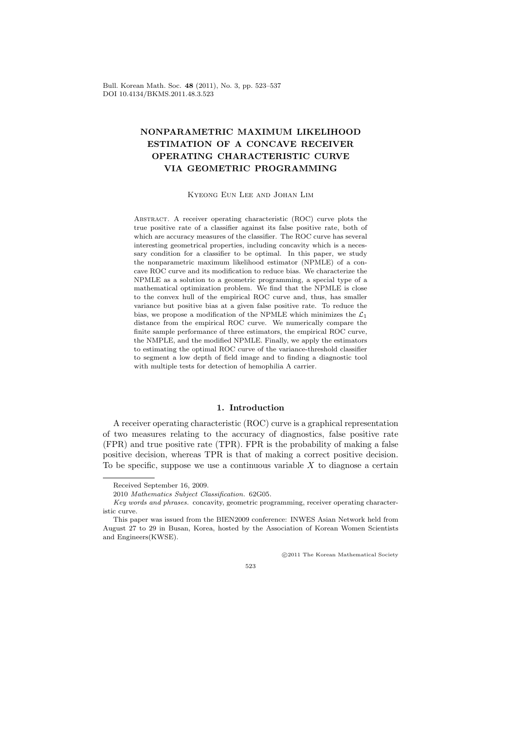Bull. Korean Math. Soc. **48** (2011), No. 3, pp. 523–537 DOI 10.4134/BKMS.2011.48.3.523

# **NONPARAMETRIC MAXIMUM LIKELIHOOD ESTIMATION OF A CONCAVE RECEIVER OPERATING CHARACTERISTIC CURVE VIA GEOMETRIC PROGRAMMING**

Kyeong Eun Lee and Johan Lim

Abstract. A receiver operating characteristic (ROC) curve plots the true positive rate of a classifier against its false positive rate, both of which are accuracy measures of the classifier. The ROC curve has several interesting geometrical properties, including concavity which is a necessary condition for a classifier to be optimal. In this paper, we study the nonparametric maximum likelihood estimator (NPMLE) of a concave ROC curve and its modification to reduce bias. We characterize the NPMLE as a solution to a geometric programming, a special type of a mathematical optimization problem. We find that the NPMLE is close to the convex hull of the empirical ROC curve and, thus, has smaller variance but positive bias at a given false positive rate. To reduce the bias, we propose a modification of the NPMLE which minimizes the *L*<sup>1</sup> distance from the empirical ROC curve. We numerically compare the finite sample performance of three estimators, the empirical ROC curve, the NMPLE, and the modified NPMLE. Finally, we apply the estimators to estimating the optimal ROC curve of the variance-threshold classifier to segment a low depth of field image and to finding a diagnostic tool with multiple tests for detection of hemophilia A carrier.

# **1. Introduction**

A receiver operating characteristic (ROC) curve is a graphical representation of two measures relating to the accuracy of diagnostics, false positive rate (FPR) and true positive rate (TPR). FPR is the probability of making a false positive decision, whereas TPR is that of making a correct positive decision. To be specific, suppose we use a continuous variable *X* to diagnose a certain

*⃝*c 2011 The Korean Mathematical Society

523

Received September 16, 2009.

<sup>2010</sup> *Mathematics Subject Classification.* 62G05.

*Key words and phrases.* concavity, geometric programming, receiver operating characteristic curve.

This paper was issued from the BIEN2009 conference: INWES Asian Network held from August 27 to 29 in Busan, Korea, hosted by the Association of Korean Women Scientists and Engineers(KWSE).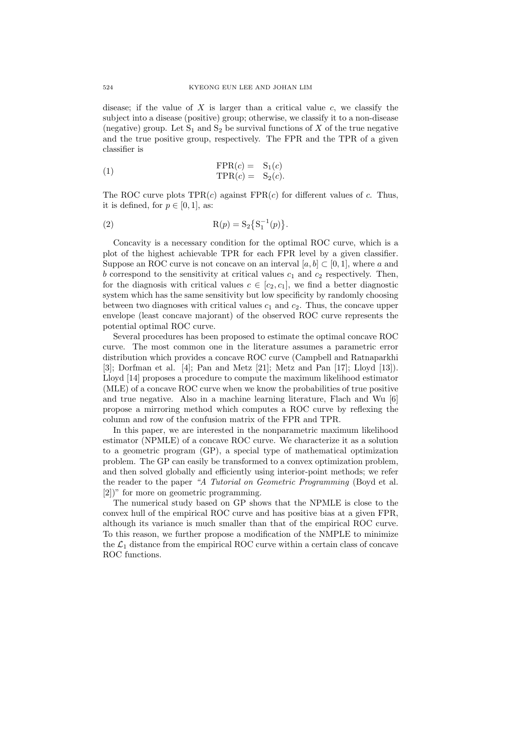disease; if the value of  $X$  is larger than a critical value  $c$ , we classify the subject into a disease (positive) group; otherwise, we classify it to a non-disease (negative) group. Let  $S_1$  and  $S_2$  be survival functions of X of the true negative and the true positive group, respectively. The FPR and the TPR of a given classifier is

(1) 
$$
\text{FPR}(c) = S_1(c) \text{TPR}(c) = S_2(c).
$$

The ROC curve plots  $TPR(c)$  against  $FPR(c)$  for different values of *c*. Thus, it is defined, for  $p \in [0, 1]$ , as:

(2) 
$$
R(p) = S_2 \{ S_1^{-1}(p) \}.
$$

Concavity is a necessary condition for the optimal ROC curve, which is a plot of the highest achievable TPR for each FPR level by a given classifier. Suppose an ROC curve is not concave on an interval  $[a, b] \subset [0, 1]$ , where a and  $b$  correspond to the sensitivity at critical values  $c_1$  and  $c_2$  respectively. Then, for the diagnosis with critical values  $c \in [c_2, c_1]$ , we find a better diagnostic system which has the same sensitivity but low specificity by randomly choosing between two diagnoses with critical values  $c_1$  and  $c_2$ . Thus, the concave upper envelope (least concave majorant) of the observed ROC curve represents the potential optimal ROC curve.

Several procedures has been proposed to estimate the optimal concave ROC curve. The most common one in the literature assumes a parametric error distribution which provides a concave ROC curve (Campbell and Ratnaparkhi [3]; Dorfman et al. [4]; Pan and Metz [21]; Metz and Pan [17]; Lloyd [13]). Lloyd [14] proposes a procedure to compute the maximum likelihood estimator (MLE) of a concave ROC curve when we know the probabilities of true positive and true negative. Also in a machine learning literature, Flach and Wu [6] propose a mirroring method which computes a ROC curve by reflexing the column and row of the confusion matrix of the FPR and TPR.

In this paper, we are interested in the nonparametric maximum likelihood estimator (NPMLE) of a concave ROC curve. We characterize it as a solution to a geometric program (GP), a special type of mathematical optimization problem. The GP can easily be transformed to a convex optimization problem, and then solved globally and efficiently using interior-point methods; we refer the reader to the paper *"A Tutorial on Geometric Programming* (Boyd et al. [2])" for more on geometric programming.

The numerical study based on GP shows that the NPMLE is close to the convex hull of the empirical ROC curve and has positive bias at a given FPR, although its variance is much smaller than that of the empirical ROC curve. To this reason, we further propose a modification of the NMPLE to minimize the  $\mathcal{L}_1$  distance from the empirical ROC curve within a certain class of concave ROC functions.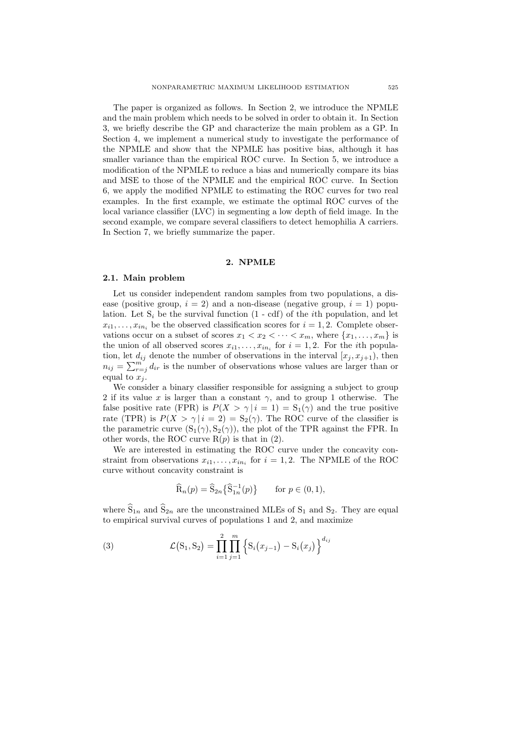The paper is organized as follows. In Section 2, we introduce the NPMLE and the main problem which needs to be solved in order to obtain it. In Section 3, we briefly describe the GP and characterize the main problem as a GP. In Section 4, we implement a numerical study to investigate the performance of the NPMLE and show that the NPMLE has positive bias, although it has smaller variance than the empirical ROC curve. In Section 5, we introduce a modification of the NPMLE to reduce a bias and numerically compare its bias and MSE to those of the NPMLE and the empirical ROC curve. In Section 6, we apply the modified NPMLE to estimating the ROC curves for two real examples. In the first example, we estimate the optimal ROC curves of the local variance classifier (LVC) in segmenting a low depth of field image. In the second example, we compare several classifiers to detect hemophilia A carriers. In Section 7, we briefly summarize the paper.

#### **2. NPMLE**

# **2.1. Main problem**

Let us consider independent random samples from two populations, a disease (positive group,  $i = 2$ ) and a non-disease (negative group,  $i = 1$ ) population. Let  $S_i$  be the survival function  $(1 - cdf)$  of the *i*th population, and let  $x_{i1}, \ldots, x_{in_i}$  be the observed classification scores for  $i = 1, 2$ . Complete observations occur on a subset of scores  $x_1 < x_2 < \cdots < x_m$ , where  $\{x_1, \ldots, x_m\}$  is the union of all observed scores  $x_{i1}, \ldots, x_{in_i}$  for  $i = 1, 2$ . For the *i*th population, let  $d_{ij}$  denote the number of observations in the interval  $[x_j, x_{j+1})$ , then  $n_{ij} = \sum_{r=j}^{m} d_{ir}$  is the number of observations whose values are larger than or equal to  $\tilde{x_i}$ .

We consider a binary classifier responsible for assigning a subject to group 2 if its value *x* is larger than a constant *γ*, and to group 1 otherwise. The false positive rate (FPR) is  $P(X > \gamma | i = 1) = S_1(\gamma)$  and the true positive rate (TPR) is  $P(X > \gamma | i = 2) = S_2(\gamma)$ . The ROC curve of the classifier is the parametric curve  $(S_1(\gamma), S_2(\gamma))$ , the plot of the TPR against the FPR. In other words, the ROC curve  $R(p)$  is that in  $(2)$ .

We are interested in estimating the ROC curve under the concavity constraint from observations  $x_{i1}, \ldots, x_{in_i}$  for  $i = 1, 2$ . The NPMLE of the ROC curve without concavity constraint is

$$
\widehat{\mathcal{R}}_n(p) = \widehat{\mathcal{S}}_{2n} \{ \widehat{\mathcal{S}}_{1n}^{-1}(p) \} \qquad \text{for } p \in (0, 1),
$$

where  $\hat{S}_{1n}$  and  $\hat{S}_{2n}$  are the unconstrained MLEs of  $S_1$  and  $S_2$ . They are equal to empirical survival curves of populations 1 and 2, and maximize

(3) 
$$
\mathcal{L}(S_1, S_2) = \prod_{i=1}^2 \prod_{j=1}^m \left\{ S_i(x_{j-1}) - S_i(x_j) \right\}^{d_{ij}}
$$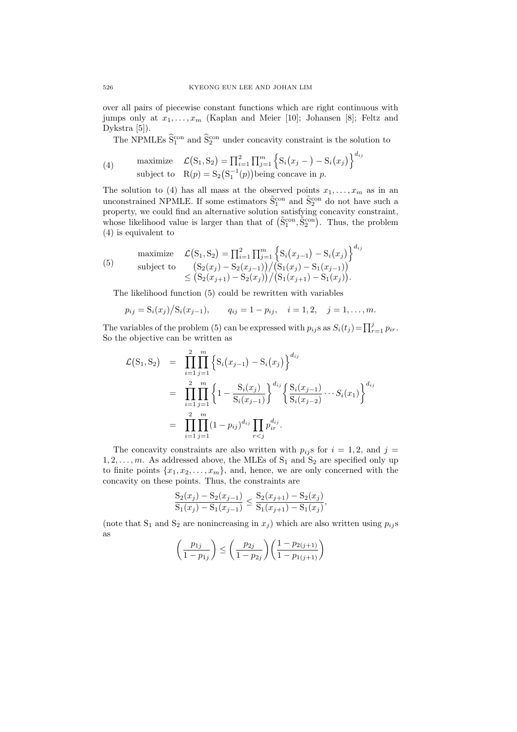over all pairs of piecewise constant functions which are right continuous with jumps only at  $x_1, \ldots, x_m$  (Kaplan and Meier [10]; Johansen [8]; Feltz and Dykstra [5]).

The NPMLEs  $\hat{S}_1^{\text{con}}$  and  $\hat{S}_2^{\text{con}}$  under concavity constraint is the solution to

)}*<sup>d</sup>ij*

(4) maximize 
$$
\mathcal{L}(S_1, S_2) = \prod_{i=1}^2 \prod_{j=1}^m \left\{ S_i(x_j -) - S_i(x_j) \right\}^{d_{ij}}
$$
  
subject to  $R(p) = S_2(S_1^{-1}(p))$  being concave in *p*.

The solution to (4) has all mass at the observed points  $x_1, \ldots, x_m$  as in an unconstrained NPMLE. If some estimators  $\tilde{S}_1^{\text{con}}$  and  $\tilde{S}_2^{\text{con}}$  do not have such a property, we could find an alternative solution satisfying concavity constraint, whose likelihood value is larger than that of  $(\tilde{S}_1^{\text{con}}, \tilde{S}_2^{\text{con}})$ . Thus, the problem (4) is equivalent to

$$
\begin{array}{ll}\n\text{maximize} & \mathcal{L}(S_1, S_2) = \prod_{i=1}^2 \prod_{j=1}^m \left\{ S_i(x_{j-1}) - S_i(x_j) \right\}^{d_{ij}} \\
\text{subject to} & \left( \frac{S_2(x_j) - S_2(x_{j-1})}{S_2(x_{j+1}) - S_2(x_j)} \right) / \left( \frac{S_1(x_j) - S_1(x_{j-1})}{S_1(x_j) - S_1(x_j)} \right) \\
& \leq \left( \frac{S_2(x_{j+1}) - S_2(x_j)}{S_2(x_j) - S_2(x_j)} \right) / \left( \frac{S_1(x_{j+1}) - S_1(x_j)}{S_1(x_j) - S_1(x_j)} \right).\n\end{array}
$$

The likelihood function (5) could be rewritten with variables

$$
p_{ij} = S_i(x_j)/S_i(x_{j-1}),
$$
  $q_{ij} = 1 - p_{ij},$   $i = 1, 2,$   $j = 1, ..., m.$ 

The variables of the problem (5) can be expressed with  $p_{ij}$  s as  $S_i(t_j) = \prod_{r=1}^j p_{ir}$ . So the objective can be written as

$$
\mathcal{L}(S_1, S_2) = \prod_{i=1}^{2} \prod_{j=1}^{m} \left\{ S_i(x_{j-1}) - S_i(x_j) \right\}^{d_{ij}}
$$
  
\n
$$
= \prod_{i=1}^{2} \prod_{j=1}^{m} \left\{ 1 - \frac{S_i(x_j)}{S_i(x_{j-1})} \right\}^{d_{ij}} \left\{ \frac{S_i(x_{j-1})}{S_i(x_{j-2})} \cdots S_i(x_1) \right\}^{d_{ij}}
$$
  
\n
$$
= \prod_{i=1}^{2} \prod_{j=1}^{m} (1 - p_{ij})^{d_{ij}} \prod_{r < j} p_{ir}^{d_{ij}}.
$$

The concavity constraints are also written with  $p_{ij}$ s for  $i = 1, 2$ , and  $j =$  $1, 2, \ldots, m$ . As addressed above, the MLEs of  $S_1$  and  $S_2$  are specified only up to finite points  $\{x_1, x_2, \ldots, x_m\}$ , and, hence, we are only concerned with the concavity on these points. Thus, the constraints are

$$
\frac{S_2(x_j) - S_2(x_{j-1})}{S_1(x_j) - S_1(x_{j-1})} \le \frac{S_2(x_{j+1}) - S_2(x_j)}{S_1(x_{j+1}) - S_1(x_j)},
$$

(note that  $S_1$  and  $S_2$  are nonincreasing in  $x_j$ ) which are also written using  $p_{ij}$ s as

$$
\left(\frac{p_{1j}}{1-p_{1j}}\right) \le \left(\frac{p_{2j}}{1-p_{2j}}\right) \left(\frac{1-p_{2(j+1)}}{1-p_{1(j+1)}}\right)
$$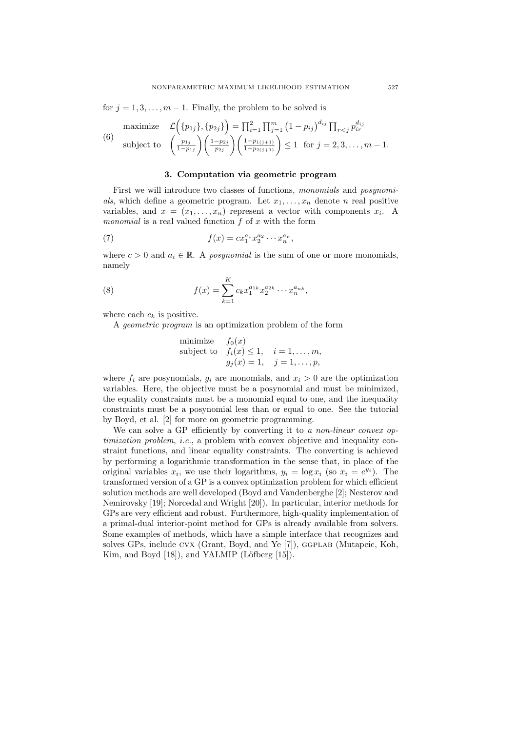for  $j = 1, 3, \ldots, m - 1$ . Finally, the problem to be solved is

maximize 
$$
\mathcal{L}(\{p_{1j}\}, \{p_{2j}\}) = \prod_{i=1}^{2} \prod_{j=1}^{m} (1 - p_{ij})^{d_{ij}} \prod_{r < j} p_{ir}^{d_{ij}}
$$
  
\n(6) subject to  $\left(\frac{p_{1j}}{1 - p_{1j}}\right) \left(\frac{1 - p_{2j}}{p_{2j}}\right) \left(\frac{1 - p_{1(j+1)}}{1 - p_{2(j+1)}}\right) \le 1$  for  $j = 2, 3, ..., m - 1$ .

### **3. Computation via geometric program**

First we will introduce two classes of functions, *monomials* and *posynomi*als, which define a geometric program. Let  $x_1, \ldots, x_n$  denote *n* real positive variables, and  $x = (x_1, \ldots, x_n)$  represent a vector with components  $x_i$ . A *monomial* is a real valued function *f* of *x* with the form

(7) 
$$
f(x) = cx_1^{a_1} x_2^{a_2} \cdots x_n^{a_n},
$$

where  $c > 0$  and  $a_i \in \mathbb{R}$ . A *posynomial* is the sum of one or more monomials, namely

(8) 
$$
f(x) = \sum_{k=1}^{K} c_k x_1^{a_{1k}} x_2^{a_{2k}} \cdots x_n^{a_{nk}},
$$

where each  $c_k$  is positive.

A *geometric program* is an optimization problem of the form

minimize 
$$
f_0(x)
$$
  
subject to  $f_i(x) \le 1$ ,  $i = 1,..., m$ ,  
 $g_j(x) = 1$ ,  $j = 1,..., p$ ,

where  $f_i$  are posynomials,  $g_i$  are monomials, and  $x_i > 0$  are the optimization variables. Here, the objective must be a posynomial and must be minimized, the equality constraints must be a monomial equal to one, and the inequality constraints must be a posynomial less than or equal to one. See the tutorial by Boyd, et al. [2] for more on geometric programming.

We can solve a GP efficiently by converting it to *a non-linear convex optimization problem*, *i.e.*, a problem with convex objective and inequality constraint functions, and linear equality constraints. The converting is achieved by performing a logarithmic transformation in the sense that, in place of the original variables  $x_i$ , we use their logarithms,  $y_i = \log x_i$  (so  $x_i = e^{y_i}$ ). The transformed version of a GP is a convex optimization problem for which efficient solution methods are well developed (Boyd and Vandenberghe [2]; Nesterov and Nemirovsky [19]; Norcedal and Wright [20]). In particular, interior methods for GPs are very efficient and robust. Furthermore, high-quality implementation of a primal-dual interior-point method for GPs is already available from solvers. Some examples of methods, which have a simple interface that recognizes and solves GPs, include CVX (Grant, Boyd, and Ye [7]), GGPLAB (Mutapcic, Koh, Kim, and Boyd  $[18]$ ), and YALMIP (Löfberg  $[15]$ ).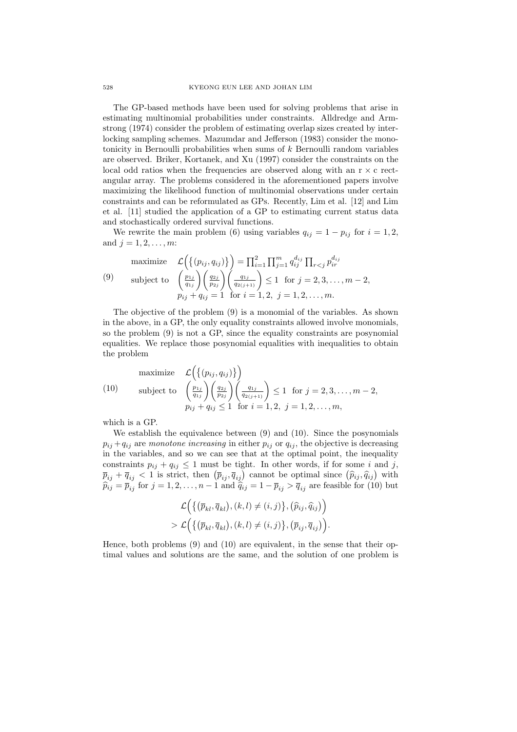The GP-based methods have been used for solving problems that arise in estimating multinomial probabilities under constraints. Alldredge and Armstrong (1974) consider the problem of estimating overlap sizes created by interlocking sampling schemes. Mazumdar and Jefferson (1983) consider the monotonicity in Bernoulli probabilities when sums of *k* Bernoulli random variables are observed. Briker, Kortanek, and Xu (1997) consider the constraints on the local odd ratios when the frequencies are observed along with an r *×* c rectangular array. The problems considered in the aforementioned papers involve maximizing the likelihood function of multinomial observations under certain constraints and can be reformulated as GPs. Recently, Lim et al. [12] and Lim et al. [11] studied the application of a GP to estimating current status data and stochastically ordered survival functions.

We rewrite the main problem (6) using variables  $q_{ij} = 1 - p_{ij}$  for  $i = 1, 2$ , and  $j = 1, 2, \ldots, m$ :

maximize 
$$
\mathcal{L}\left(\{(p_{ij}, q_{ij})\}\right) = \prod_{i=1}^2 \prod_{j=1}^m q_{ij}^{d_{ij}} \prod_{r < j} p_{ir}^{d_{ij}}
$$
  
\n(9) subject to  $\left(\frac{p_{1j}}{q_{1j}}\right) \left(\frac{q_{2j}}{p_{2j}}\right) \left(\frac{q_{1j}}{q_{2(j+1)}}\right) \le 1$  for  $j = 2, 3, ..., m - 2$ ,   
\n $p_{ij} + q_{ij} = 1$  for  $i = 1, 2, j = 1, 2, ..., m$ .

The objective of the problem (9) is a monomial of the variables. As shown in the above, in a GP, the only equality constraints allowed involve monomials, so the problem (9) is not a GP, since the equality constraints are posynomial equalities. We replace those posynomial equalities with inequalities to obtain the problem

maximize 
$$
\mathcal{L}\left(\{(p_{ij}, q_{ij})\}\right)
$$
  
\nsubject to  $\left(\frac{p_{1j}}{q_{1j}}\right)\left(\frac{q_{2j}}{p_{2j}}\right)\left(\frac{q_{1j}}{q_{2(j+1)}}\right) \le 1$  for  $j = 2, 3, ..., m - 2$ ,  
\n $p_{ij} + q_{ij} \le 1$  for  $i = 1, 2, j = 1, 2, ..., m$ ,

which is a GP.

We establish the equivalence between (9) and (10). Since the posynomials  $p_{ij} + q_{ij}$  are *monotone increasing* in either  $p_{ij}$  or  $q_{ij}$ , the objective is decreasing in the variables, and so we can see that at the optimal point, the inequality constraints  $p_{ij} + q_{ij} \leq 1$  must be tight. In other words, if for some *i* and *j*,  $\overline{p}_{ij} + \overline{q}_{ij} < 1$  is strict, then  $(\overline{p}_{ij}, \overline{q}_{ij})$  cannot be optimal since  $(\widehat{p}_{ij}, \widehat{q}_{ij})$  with  $\hat{p}_{ij} = \overline{p}_{ij}$  for  $j = 1, 2, \dots, n - 1$  and  $\hat{q}_{ij} = 1 - \overline{p}_{ij} > \overline{q}_{ij}$  are feasible for (10) but

$$
\mathcal{L}\Big(\big\{\big(\overline{p}_{kl},\overline{q}_{kl}\big),\left(k,l\right)\neq\left(i,j\right)\big\},\left(\widehat{p}_{ij},\widehat{q}_{ij}\right)\Big) > \mathcal{L}\Big(\big\{\big(\overline{p}_{kl},\overline{q}_{kl}\big),\left(k,l\right)\neq\left(i,j\right)\big\},\left(\overline{p}_{ij},\overline{q}_{ij}\right)\Big).
$$

Hence, both problems (9) and (10) are equivalent, in the sense that their optimal values and solutions are the same, and the solution of one problem is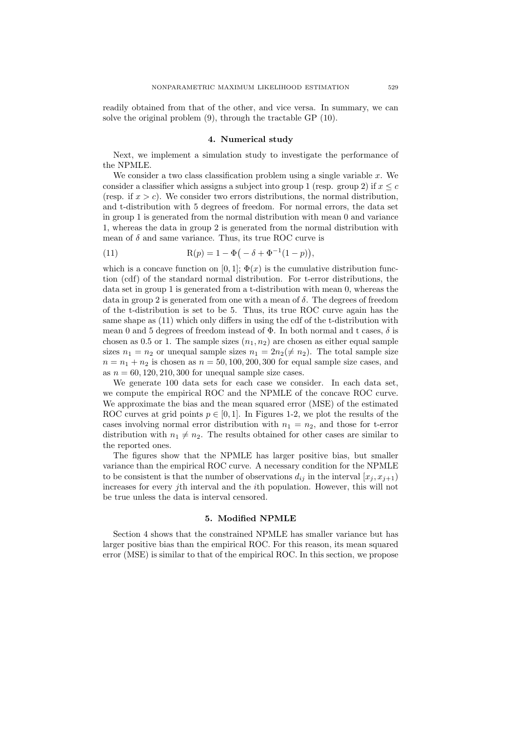readily obtained from that of the other, and vice versa. In summary, we can solve the original problem (9), through the tractable GP (10).

#### **4. Numerical study**

Next, we implement a simulation study to investigate the performance of the NPMLE.

We consider a two class classification problem using a single variable *x*. We consider a classifier which assigns a subject into group 1 (resp. group 2) if  $x \leq c$ (resp. if  $x > c$ ). We consider two errors distributions, the normal distribution, and t-distribution with 5 degrees of freedom. For normal errors, the data set in group 1 is generated from the normal distribution with mean 0 and variance 1, whereas the data in group 2 is generated from the normal distribution with mean of  $\delta$  and same variance. Thus, its true ROC curve is

(11) 
$$
R(p) = 1 - \Phi(-\delta + \Phi^{-1}(1-p)),
$$

which is a concave function on [0, 1];  $\Phi(x)$  is the cumulative distribution function (cdf) of the standard normal distribution. For t-error distributions, the data set in group 1 is generated from a t-distribution with mean 0, whereas the data in group 2 is generated from one with a mean of *δ*. The degrees of freedom of the t-distribution is set to be 5. Thus, its true ROC curve again has the same shape as (11) which only differs in using the cdf of the t-distribution with mean 0 and 5 degrees of freedom instead of  $\Phi$ . In both normal and t cases,  $\delta$  is chosen as 0.5 or 1. The sample sizes  $(n_1, n_2)$  are chosen as either equal sample sizes  $n_1 = n_2$  or unequal sample sizes  $n_1 = 2n_2(\neq n_2)$ . The total sample size  $n = n_1 + n_2$  is chosen as  $n = 50, 100, 200, 300$  for equal sample size cases, and as  $n = 60, 120, 210, 300$  for unequal sample size cases.

We generate 100 data sets for each case we consider. In each data set, we compute the empirical ROC and the NPMLE of the concave ROC curve. We approximate the bias and the mean squared error (MSE) of the estimated ROC curves at grid points  $p \in [0, 1]$ . In Figures 1-2, we plot the results of the cases involving normal error distribution with  $n_1 = n_2$ , and those for t-error distribution with  $n_1 \neq n_2$ . The results obtained for other cases are similar to the reported ones.

The figures show that the NPMLE has larger positive bias, but smaller variance than the empirical ROC curve. A necessary condition for the NPMLE to be consistent is that the number of observations  $d_{ij}$  in the interval  $[x_j, x_{j+1})$ increases for every *j*th interval and the *i*th population. However, this will not be true unless the data is interval censored.

#### **5. Modified NPMLE**

Section 4 shows that the constrained NPMLE has smaller variance but has larger positive bias than the empirical ROC. For this reason, its mean squared error (MSE) is similar to that of the empirical ROC. In this section, we propose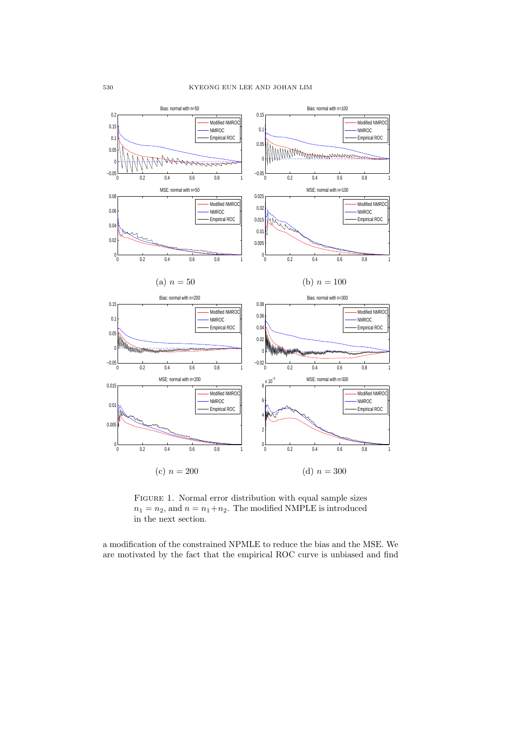

FIGURE 1. Normal error distribution with equal sample sizes  $n_1 = n_2$ , and  $n = n_1 + n_2$ . The modified NMPLE is introduced in the next section.

a modification of the constrained NPMLE to reduce the bias and the MSE. We are motivated by the fact that the empirical ROC curve is unbiased and find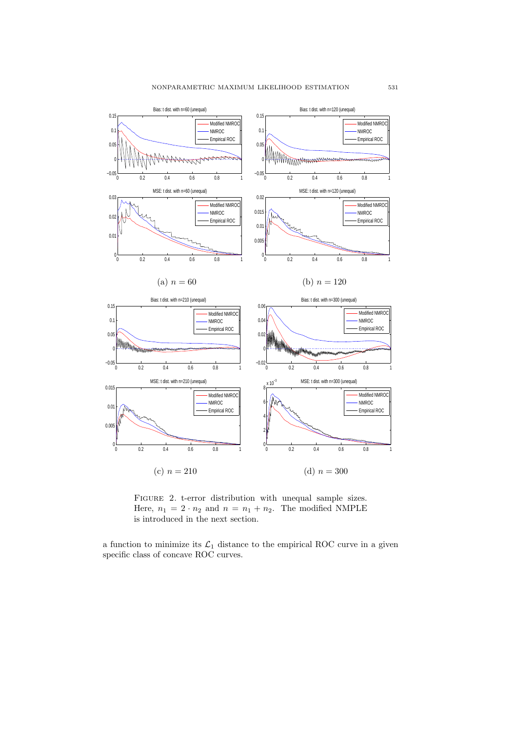

FIGURE 2. t-error distribution with unequal sample sizes. Here,  $n_1 = 2 \cdot n_2$  and  $n = n_1 + n_2$ . The modified NMPLE is introduced in the next section.

a function to minimize its  $\mathcal{L}_1$  distance to the empirical ROC curve in a given specific class of concave ROC curves.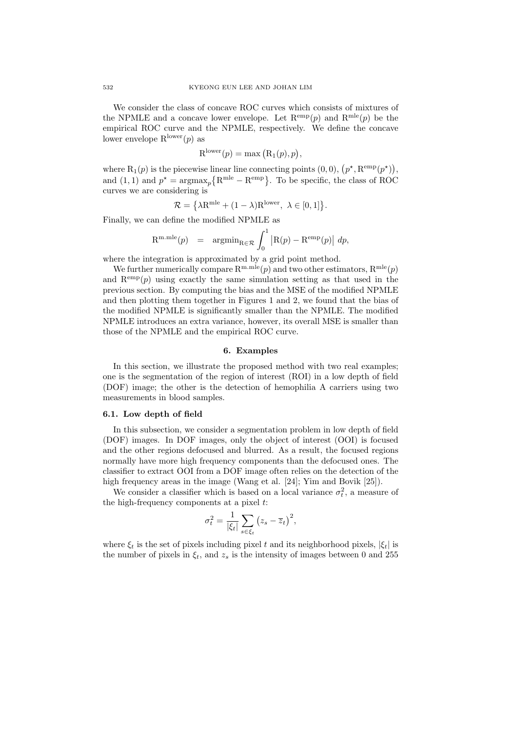We consider the class of concave ROC curves which consists of mixtures of the NPMLE and a concave lower envelope. Let  $\mathbb{R}^{\text{emp}}(p)$  and  $\mathbb{R}^{\text{mle}}(p)$  be the empirical ROC curve and the NPMLE, respectively. We define the concave lower envelope  $R^{lower}(p)$  as

$$
R^{lower}(p) = \max (R_1(p), p),
$$

where  $R_1(p)$  is the piecewise linear line connecting points  $(0,0)$ ,  $(p^*, R^{emp}(p^*))$ , and (1, 1) and  $p^* = \text{argmax}_p \{ R^{\text{mle}} - R^{\text{emp}} \}.$  To be specific, the class of ROC curves we are considering is

$$
\mathcal{R} = \left\{ \lambda \mathbf{R}^{\text{mle}} + (1 - \lambda) \mathbf{R}^{\text{lower}}, \ \lambda \in [0, 1] \right\}.
$$

Finally, we can define the modified NPMLE as

$$
\mathbf{R}^{\text{m.}\text{mle}}(p) \quad = \quad \mathop{\rm argmin}\nolimits_{\mathbf{R}\in\mathcal{R}} \int_0^1 \left| \mathbf{R}(p) - \mathbf{R}^{\text{emp}}(p) \right| \; dp,
$$

where the integration is approximated by a grid point method.

We further numerically compare  $R^{m,mle}(p)$  and two other estimators,  $R^{mle}(p)$ and  $\mathbb{R}^{\text{emp}}(p)$  using exactly the same simulation setting as that used in the previous section. By computing the bias and the MSE of the modified NPMLE and then plotting them together in Figures 1 and 2, we found that the bias of the modified NPMLE is significantly smaller than the NPMLE. The modified NPMLE introduces an extra variance, however, its overall MSE is smaller than those of the NPMLE and the empirical ROC curve.

#### **6. Examples**

In this section, we illustrate the proposed method with two real examples; one is the segmentation of the region of interest (ROI) in a low depth of field (DOF) image; the other is the detection of hemophilia A carriers using two measurements in blood samples.

## **6.1. Low depth of field**

In this subsection, we consider a segmentation problem in low depth of field (DOF) images. In DOF images, only the object of interest (OOI) is focused and the other regions defocused and blurred. As a result, the focused regions normally have more high frequency components than the defocused ones. The classifier to extract OOI from a DOF image often relies on the detection of the high frequency areas in the image (Wang et al. [24]; Yim and Bovik [25]).

We consider a classifier which is based on a local variance  $\sigma_t^2$ , a measure of the high-frequency components at a pixel *t*:

$$
\sigma_t^2 = \frac{1}{|\xi_t|} \sum_{s \in \xi_t} (z_s - \overline{z}_t)^2,
$$

where  $\xi_t$  is the set of pixels including pixel *t* and its neighborhood pixels,  $|\xi_t|$  is the number of pixels in  $\xi_t$ , and  $z_s$  is the intensity of images between 0 and 255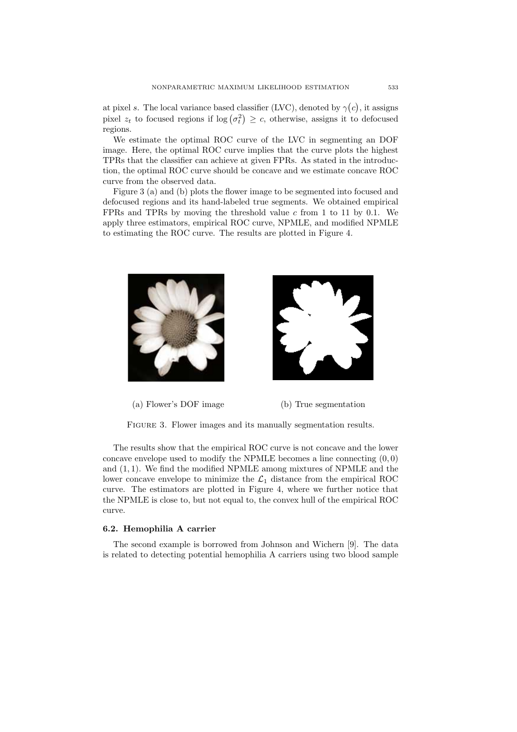at pixel *s*. The local variance based classifier (LVC), denoted by  $\gamma(c)$ , it assigns pixel  $z_t$  to focused regions if  $\log(\sigma_t^2) \geq c$ , otherwise, assigns it to defocused regions.

We estimate the optimal ROC curve of the LVC in segmenting an DOF image. Here, the optimal ROC curve implies that the curve plots the highest TPRs that the classifier can achieve at given FPRs. As stated in the introduction, the optimal ROC curve should be concave and we estimate concave ROC curve from the observed data.

Figure 3 (a) and (b) plots the flower image to be segmented into focused and defocused regions and its hand-labeled true segments. We obtained empirical FPRs and TPRs by moving the threshold value *c* from 1 to 11 by 0.1. We apply three estimators, empirical ROC curve, NPMLE, and modified NPMLE to estimating the ROC curve. The results are plotted in Figure 4.



(a) Flower's DOF image (b) True segmentation

FIGURE 3. Flower images and its manually segmentation results.

The results show that the empirical ROC curve is not concave and the lower concave envelope used to modify the NPMLE becomes a line connecting  $(0,0)$ and (1*,* 1). We find the modified NPMLE among mixtures of NPMLE and the lower concave envelope to minimize the  $\mathcal{L}_1$  distance from the empirical ROC curve. The estimators are plotted in Figure 4, where we further notice that the NPMLE is close to, but not equal to, the convex hull of the empirical ROC curve.

#### **6.2. Hemophilia A carrier**

The second example is borrowed from Johnson and Wichern [9]. The data is related to detecting potential hemophilia A carriers using two blood sample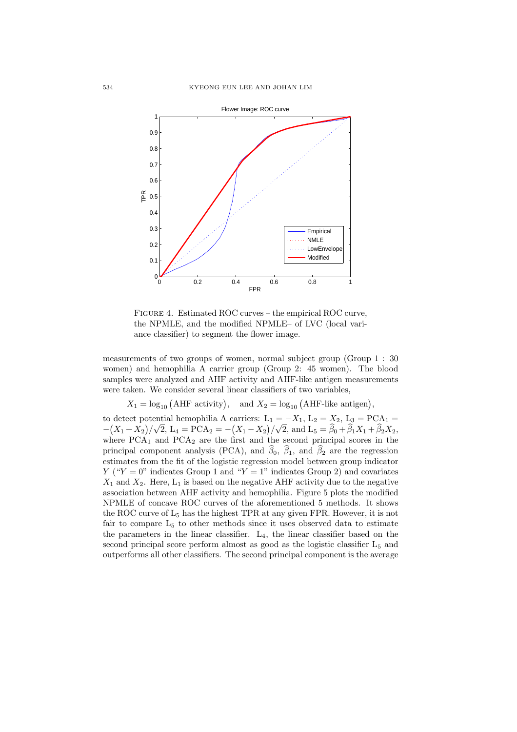

Figure 4. Estimated ROC curves – the empirical ROC curve, the NPMLE, and the modified NPMLE– of LVC (local variance classifier) to segment the flower image.

measurements of two groups of women, normal subject group (Group 1 : 30 women) and hemophilia A carrier group (Group 2: 45 women). The blood samples were analyzed and AHF activity and AHF-like antigen measurements were taken. We consider several linear classifiers of two variables,

 $X_1 = \log_{10} (\text{AHF activity})$ , and  $X_2 = \log_{10} (\text{AHF-like antigen})$ ,

to detect potential hemophilia A carriers:  $L_1 = -X_1, L_2 = X_2, L_3 = \text{PCA}_1 =$  $-(X_1 + X_2)/\sqrt{2}$ , L<sub>4</sub> = PCA<sub>2</sub> =  $-(X_1 - X_2)/\sqrt{2}$ , and L<sub>5</sub> =  $\hat{\beta}_0 + \hat{\beta}_1 X_1 + \hat{\beta}_2 X_2$ , where  $PCA_1$  and  $PCA_2$  are the first and the second principal scores in the principal component analysis (PCA), and  $\hat{\beta}_0$ ,  $\hat{\beta}_1$ , and  $\hat{\beta}_2$  are the regression estimates from the fit of the logistic regression model between group indicator *Y* (" $Y = 0$ " indicates Group 1 and " $Y = 1$ " indicates Group 2) and covariates  $X_1$  and  $X_2$ . Here,  $L_1$  is based on the negative AHF activity due to the negative association between AHF activity and hemophilia. Figure 5 plots the modified NPMLE of concave ROC curves of the aforementioned 5 methods. It shows the ROC curve of L<sup>5</sup> has the highest TPR at any given FPR. However, it is not fair to compare  $L_5$  to other methods since it uses observed data to estimate the parameters in the linear classifier.  $L_4$ , the linear classifier based on the second principal score perform almost as good as the logistic classifier  $L_5$  and outperforms all other classifiers. The second principal component is the average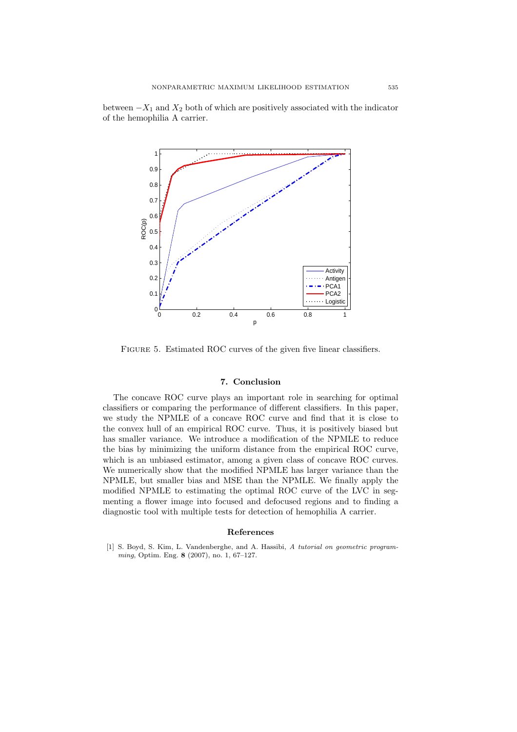between *−X*<sup>1</sup> and *X*<sup>2</sup> both of which are positively associated with the indicator of the hemophilia A carrier.



FIGURE 5. Estimated ROC curves of the given five linear classifiers.

# **7. Conclusion**

The concave ROC curve plays an important role in searching for optimal classifiers or comparing the performance of different classifiers. In this paper, we study the NPMLE of a concave ROC curve and find that it is close to the convex hull of an empirical ROC curve. Thus, it is positively biased but has smaller variance. We introduce a modification of the NPMLE to reduce the bias by minimizing the uniform distance from the empirical ROC curve, which is an unbiased estimator, among a given class of concave ROC curves. We numerically show that the modified NPMLE has larger variance than the NPMLE, but smaller bias and MSE than the NPMLE. We finally apply the modified NPMLE to estimating the optimal ROC curve of the LVC in segmenting a flower image into focused and defocused regions and to finding a diagnostic tool with multiple tests for detection of hemophilia A carrier.

# **References**

[1] S. Boyd, S. Kim, L. Vandenberghe, and A. Hassibi, *A tutorial on geometric programming*, Optim. Eng. **8** (2007), no. 1, 67–127.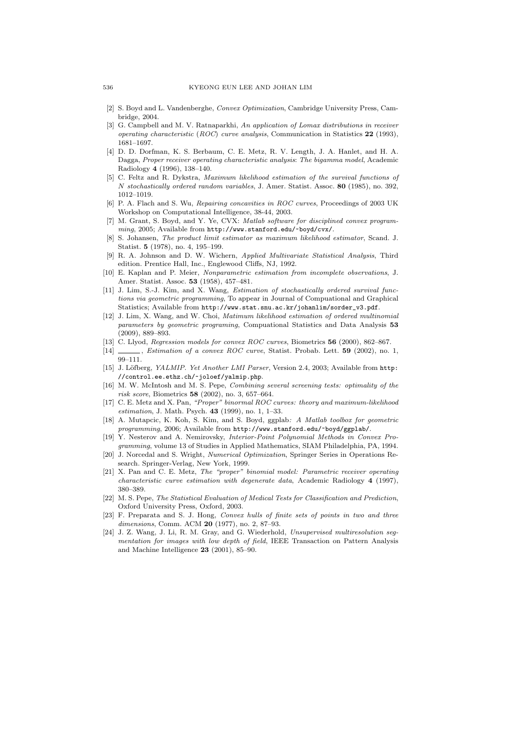- [2] S. Boyd and L. Vandenberghe, *Convex Optimization*, Cambridge University Press, Cambridge, 2004.
- [3] G. Campbell and M. V. Ratnaparkhi, *An application of Lomax distributions in receiver operating characteristic* (*ROC*) *curve analysis*, Communication in Statistics **22** (1993), 1681–1697.
- [4] D. D. Dorfman, K. S. Berbaum, C. E. Metz, R. V. Length, J. A. Hanlet, and H. A. Dagga, *Proper receiver operating characteristic analysis*: *The bigamma model*, Academic Radiology **4** (1996), 138–140.
- [5] C. Feltz and R. Dykstra, *Maximum likelihood estimation of the survival functions of N stochastically ordered random variables*, J. Amer. Statist. Assoc. **80** (1985), no. 392, 1012–1019.
- [6] P. A. Flach and S. Wu, *Repairing concavities in ROC curves*, Proceedings of 2003 UK Workshop on Computational Intelligence, 38-44, 2003.
- [7] M. Grant, S. Boyd, and Y. Ye, CVX: *Matlab software for disciplined convex programming*, 2005; Available from http://www.stanford.edu/~boyd/cvx/.
- [8] S. Johansen, *The product limit estimator as maximum likelihood estimator*, Scand. J. Statist. **5** (1978), no. 4, 195–199.
- [9] R. A. Johnson and D. W. Wichern, *Applied Multivariate Statistical Analysis*, Third edition. Prentice Hall, Inc., Englewood Cliffs, NJ, 1992.
- [10] E. Kaplan and P. Meier, *Nonparametric estimation from incomplete observations*, J. Amer. Statist. Assoc. **53** (1958), 457–481.
- [11] J. Lim, S.-J. Kim, and X. Wang, *Estimation of stochastically ordered survival functions via geometric programming*, To appear in Journal of Compuational and Graphical Statistics; Available from http://www.stat.snu.ac.kr/johanlim/sorder\_v3.pdf.
- [12] J. Lim, X. Wang, and W. Choi, *Matimum likelihood estimation of ordered multinomial parameters by geometric programing*, Compuational Statistics and Data Analysis **53** (2009), 889–893.
- [13] C. Llyod, *Regression models for convex ROC curves*, Biometrics **56** (2000), 862–867.
- [14] , *Estimation of a convex ROC curve*, Statist. Probab. Lett. **59** (2002), no. 1, 99–111.
- [15] J. Löfberg, *YALMIP. Yet Another LMI Parser*, Version 2.4, 2003; Available from http: //control.ee.ethz.ch/~joloef/yalmip.php.
- [16] M. W. McIntosh and M. S. Pepe, *Combining several screening tests: optimality of the risk score*, Biometrics **58** (2002), no. 3, 657–664.
- [17] C. E. Metz and X. Pan, *"Proper" binormal ROC curves: theory and maximum-likelihood estimation*, J. Math. Psych. **43** (1999), no. 1, 1–33.
- [18] A. Mutapcic, K. Koh, S. Kim, and S. Boyd, ggplab*: A Matlab toolbox for geometric programming*, 2006; Available from http://www.stanford.edu/~boyd/ggplab/.
- [19] Y. Nesterov and A. Nemirovsky, *Interior-Point Polynomial Methods in Convex Programming*, volume 13 of Studies in Applied Mathematics, SIAM Philadelphia, PA, 1994.
- [20] J. Norcedal and S. Wright, *Numerical Optimization*, Springer Series in Operations Research. Springer-Verlag, New York, 1999.
- [21] X. Pan and C. E. Metz, *The "proper" binomial model: Parametric receiver operating characteristic curve estimation with degenerate data*, Academic Radiology **4** (1997), 380–389.
- [22] M. S. Pepe, *The Statistical Evaluation of Medical Tests for Classification and Prediction*, Oxford University Press, Oxford, 2003.
- [23] F. Preparata and S. J. Hong, *Convex hulls of finite sets of points in two and three dimensions*, Comm. ACM **20** (1977), no. 2, 87–93.
- [24] J. Z. Wang, J. Li, R. M. Gray, and G. Wiederhold, *Unsupervised multiresolution segmentation for images with low depth of field*, IEEE Transaction on Pattern Analysis and Machine Intelligence **23** (2001), 85–90.